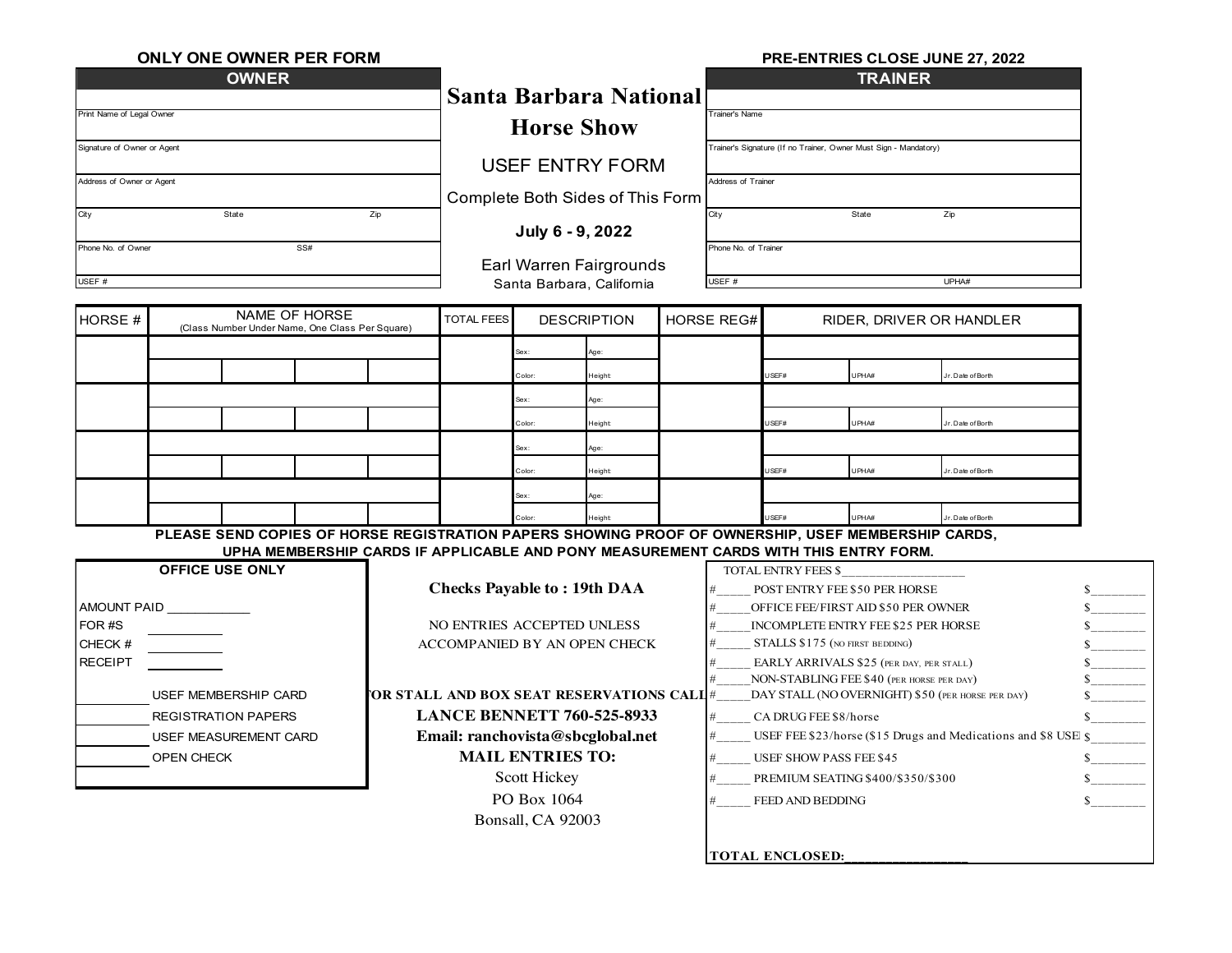| <b>ONLY ONE OWNER PER FORM</b>                                    |                                                                                                    |                                                                                                           |                                                                                                                                 |                                         |                               |                                                                  |                                                                            | PRE-ENTRIES CLOSE JUNE 27, 2022          |                                                   |                   |                          |  |
|-------------------------------------------------------------------|----------------------------------------------------------------------------------------------------|-----------------------------------------------------------------------------------------------------------|---------------------------------------------------------------------------------------------------------------------------------|-----------------------------------------|-------------------------------|------------------------------------------------------------------|----------------------------------------------------------------------------|------------------------------------------|---------------------------------------------------|-------------------|--------------------------|--|
|                                                                   | <b>OWNER</b>                                                                                       |                                                                                                           |                                                                                                                                 |                                         |                               | <b>TRAINER</b>                                                   |                                                                            |                                          |                                                   |                   |                          |  |
|                                                                   |                                                                                                    |                                                                                                           |                                                                                                                                 |                                         | <b>Santa Barbara National</b> |                                                                  |                                                                            |                                          |                                                   |                   |                          |  |
| Print Name of Legal Owner                                         |                                                                                                    | <b>Horse Show</b>                                                                                         |                                                                                                                                 |                                         |                               | Trainer's Name                                                   |                                                                            |                                          |                                                   |                   |                          |  |
| Signature of Owner or Agent                                       |                                                                                                    |                                                                                                           |                                                                                                                                 |                                         |                               | Trainer's Signature (If no Trainer, Owner Must Sign - Mandatory) |                                                                            |                                          |                                                   |                   |                          |  |
| Address of Owner or Agent                                         |                                                                                                    | <b>USEF ENTRY FORM</b><br>Complete Both Sides of This Form<br>July 6 - 9, 2022<br>Earl Warren Fairgrounds |                                                                                                                                 |                                         |                               | Address of Trainer                                               |                                                                            |                                          |                                                   |                   |                          |  |
|                                                                   |                                                                                                    |                                                                                                           |                                                                                                                                 |                                         |                               |                                                                  |                                                                            |                                          |                                                   |                   |                          |  |
| City                                                              | State                                                                                              |                                                                                                           |                                                                                                                                 |                                         |                               | City<br>State<br>Zip                                             |                                                                            |                                          |                                                   |                   |                          |  |
| Phone No. of Owner                                                | SS#                                                                                                |                                                                                                           |                                                                                                                                 |                                         |                               | Phone No. of Trainer                                             |                                                                            |                                          |                                                   |                   |                          |  |
|                                                                   |                                                                                                    |                                                                                                           |                                                                                                                                 |                                         |                               |                                                                  |                                                                            |                                          |                                                   |                   |                          |  |
| USEF #                                                            |                                                                                                    |                                                                                                           |                                                                                                                                 |                                         | Santa Barbara, California     |                                                                  | USEF #                                                                     |                                          |                                                   | UPHA#             |                          |  |
| HORSE #                                                           | NAME OF HORSE                                                                                      |                                                                                                           | <b>DESCRIPTION</b><br><b>TOTAL FEES</b>                                                                                         |                                         |                               | <b>HORSE REG#</b><br>RIDER, DRIVER OR HANDLER                    |                                                                            |                                          |                                                   |                   |                          |  |
|                                                                   | (Class Number Under Name, One Class Per Square)                                                    |                                                                                                           |                                                                                                                                 |                                         |                               |                                                                  |                                                                            |                                          |                                                   |                   |                          |  |
|                                                                   |                                                                                                    |                                                                                                           |                                                                                                                                 |                                         | Age:                          |                                                                  |                                                                            |                                          |                                                   |                   |                          |  |
|                                                                   |                                                                                                    |                                                                                                           |                                                                                                                                 | Color:                                  | Height                        |                                                                  |                                                                            | USEF#                                    | UPHA#                                             | r. Date of Borth  |                          |  |
|                                                                   |                                                                                                    |                                                                                                           |                                                                                                                                 | Sex:                                    | Age:                          |                                                                  |                                                                            |                                          |                                                   |                   |                          |  |
|                                                                   |                                                                                                    |                                                                                                           |                                                                                                                                 | Color:                                  | Height                        |                                                                  |                                                                            | USEF#                                    | UPHA#                                             | r. Date of Borth  |                          |  |
|                                                                   |                                                                                                    |                                                                                                           |                                                                                                                                 | Sex:                                    | Age:                          |                                                                  |                                                                            |                                          |                                                   |                   |                          |  |
|                                                                   |                                                                                                    |                                                                                                           |                                                                                                                                 | Color:                                  | Height                        |                                                                  |                                                                            | USEF#                                    | UPHA#                                             | Jr. Date of Borth |                          |  |
|                                                                   |                                                                                                    |                                                                                                           |                                                                                                                                 | Sex:                                    | Age:                          |                                                                  |                                                                            | USEF#                                    | UPHA#                                             |                   |                          |  |
|                                                                   | PLEASE SEND COPIES OF HORSE REGISTRATION PAPERS SHOWING PROOF OF OWNERSHIP, USEF MEMBERSHIP CARDS, |                                                                                                           |                                                                                                                                 |                                         | Height                        |                                                                  |                                                                            |                                          |                                                   | Jr. Date of Borth |                          |  |
|                                                                   | UPHA MEMBERSHIP CARDS IF APPLICABLE AND PONY MEASUREMENT CARDS WITH THIS ENTRY FORM.               |                                                                                                           |                                                                                                                                 |                                         |                               |                                                                  |                                                                            |                                          |                                                   |                   |                          |  |
|                                                                   | <b>OFFICE USE ONLY</b>                                                                             |                                                                                                           |                                                                                                                                 |                                         |                               | <b>TOTAL ENTRY FEES \$</b>                                       |                                                                            |                                          |                                                   |                   |                          |  |
|                                                                   |                                                                                                    |                                                                                                           | <b>Checks Payable to: 19th DAA</b>                                                                                              |                                         |                               |                                                                  | POST ENTRY FEE \$50 PER HORSE                                              |                                          |                                                   |                   |                          |  |
| AMOUNT PAID<br>FOR #S                                             |                                                                                                    |                                                                                                           |                                                                                                                                 |                                         |                               |                                                                  | OFFICE FEE/FIRST AID \$50 PER OWNER<br>INCOMPLETE ENTRY FEE \$25 PER HORSE |                                          |                                                   |                   | $S$ <sub>_________</sub> |  |
| CHECK #                                                           |                                                                                                    |                                                                                                           | NO ENTRIES ACCEPTED UNLESS                                                                                                      |                                         |                               |                                                                  | STALLS \$175 (NO FIRST BEDDING)                                            |                                          |                                                   |                   |                          |  |
| <b>RECEIPT</b>                                                    |                                                                                                    | ACCOMPANIED BY AN OPEN CHECK                                                                              |                                                                                                                                 |                                         |                               |                                                                  |                                                                            | EARLY ARRIVALS \$25 (PER DAY, PER STALL) |                                                   |                   |                          |  |
|                                                                   |                                                                                                    |                                                                                                           |                                                                                                                                 |                                         |                               | NON-STABLING FEE \$40 (PER HORSE PER DAY)                        |                                                                            |                                          |                                                   |                   |                          |  |
|                                                                   | USEF MEMBERSHIP CARD                                                                               |                                                                                                           |                                                                                                                                 | OR STALL AND BOX SEAT RESERVATIONS CALI |                               | #                                                                |                                                                            |                                          | DAY STALL (NO OVERNIGHT) \$50 (PER HORSE PER DAY) |                   |                          |  |
| <b>REGISTRATION PAPERS</b><br>USEF MEASUREMENT CARD<br>OPEN CHECK |                                                                                                    |                                                                                                           | <b>LANCE BENNETT 760-525-8933</b><br>Email: ranchovista@sbcglobal.net<br><b>MAIL ENTRIES TO:</b><br>Scott Hickey<br>PO Box 1064 |                                         |                               |                                                                  |                                                                            | CA DRUG FEE \$8/horse                    |                                                   |                   |                          |  |
|                                                                   |                                                                                                    |                                                                                                           |                                                                                                                                 |                                         |                               |                                                                  | #<br>USEF FEE \$23/horse (\$15 Drugs and Medications and \$8 USE \$        |                                          |                                                   |                   |                          |  |
|                                                                   |                                                                                                    |                                                                                                           |                                                                                                                                 |                                         |                               |                                                                  | USEF SHOW PASS FEE \$45<br>#                                               |                                          |                                                   |                   |                          |  |
|                                                                   |                                                                                                    |                                                                                                           |                                                                                                                                 |                                         |                               |                                                                  | PREMIUM SEATING \$400/\$350/\$300                                          |                                          |                                                   |                   |                          |  |
|                                                                   |                                                                                                    |                                                                                                           |                                                                                                                                 |                                         |                               |                                                                  | FEED AND BEDDING                                                           |                                          |                                                   |                   |                          |  |
|                                                                   |                                                                                                    |                                                                                                           |                                                                                                                                 | Bonsall, CA 92003                       |                               |                                                                  |                                                                            |                                          |                                                   |                   |                          |  |
|                                                                   |                                                                                                    |                                                                                                           |                                                                                                                                 |                                         |                               |                                                                  |                                                                            |                                          |                                                   |                   |                          |  |
|                                                                   |                                                                                                    |                                                                                                           |                                                                                                                                 |                                         |                               |                                                                  | <b>TOTAL ENCLOSED:</b>                                                     |                                          |                                                   |                   |                          |  |